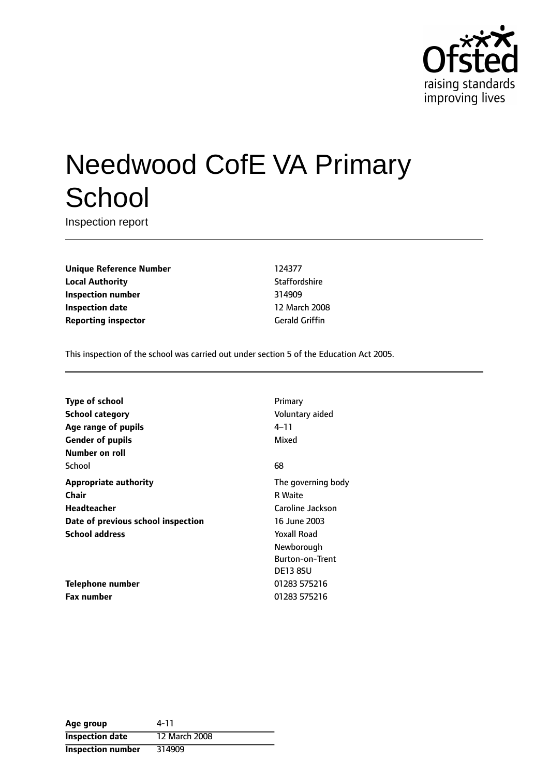

# Needwood CofE VA Primary **School**

Inspection report

**Unique Reference Number** 124377 **Local Authority Contract Contract Contract Contract Contract Contract Contract Contract Contract Contract Contract Contract Contract Contract Contract Contract Contract Contract Contract Contract Contract Contract Contr Inspection number** 314909 **Inspection date** 12 March 2008 **Reporting inspector** Gerald Griffin

This inspection of the school was carried out under section 5 of the Education Act 2005.

| <b>Type of school</b>              | Primary                |
|------------------------------------|------------------------|
| <b>School category</b>             | Voluntary aided        |
| Age range of pupils                | 4–11                   |
| <b>Gender of pupils</b>            | Mixed                  |
| Number on roll                     |                        |
| School                             | 68                     |
| <b>Appropriate authority</b>       | The governing body     |
| Chair                              | <b>R</b> Waite         |
| Headteacher                        | Caroline Jackson       |
| Date of previous school inspection | 16 June 2003           |
| <b>School address</b>              | <b>Yoxall Road</b>     |
|                                    | Newborough             |
|                                    | <b>Burton-on-Trent</b> |
|                                    | <b>DE13 8SU</b>        |
| Telephone number                   | 01283 575216           |
| <b>Fax number</b>                  | 01283 575216           |

| Age group                | 4-11          |
|--------------------------|---------------|
| <b>Inspection date</b>   | 12 March 2008 |
| <b>Inspection number</b> | 314909        |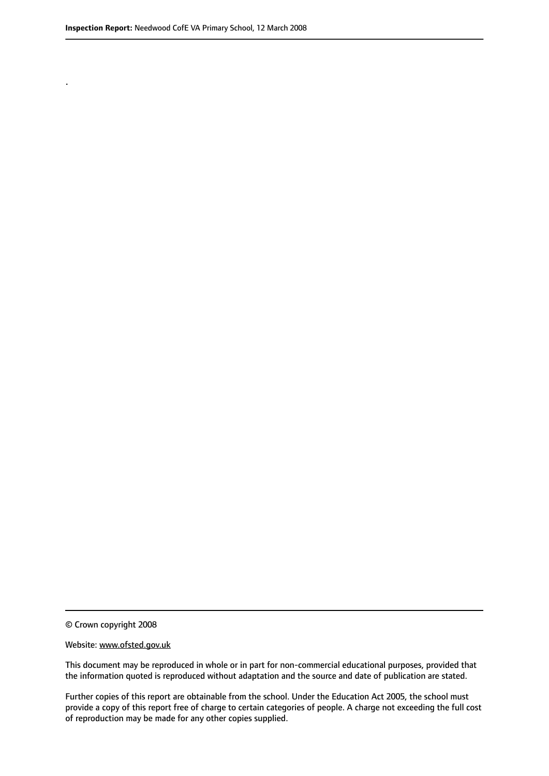.

© Crown copyright 2008

#### Website: www.ofsted.gov.uk

This document may be reproduced in whole or in part for non-commercial educational purposes, provided that the information quoted is reproduced without adaptation and the source and date of publication are stated.

Further copies of this report are obtainable from the school. Under the Education Act 2005, the school must provide a copy of this report free of charge to certain categories of people. A charge not exceeding the full cost of reproduction may be made for any other copies supplied.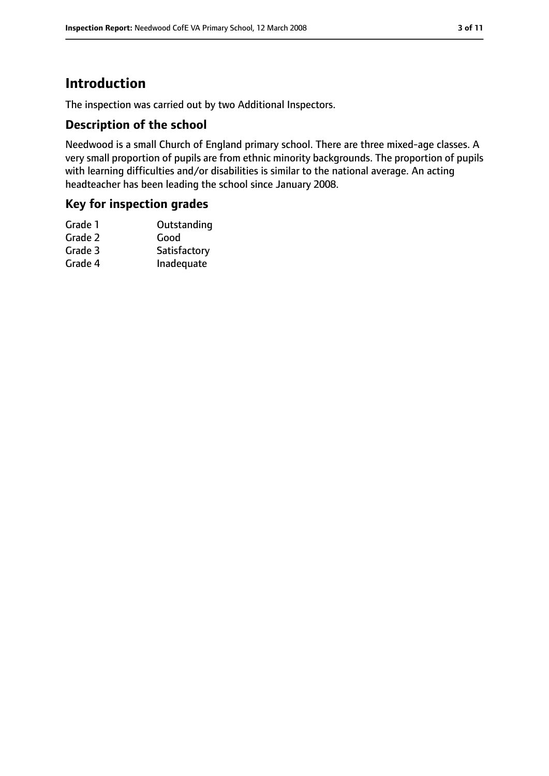# **Introduction**

The inspection was carried out by two Additional Inspectors.

#### **Description of the school**

Needwood is a small Church of England primary school. There are three mixed-age classes. A very small proportion of pupils are from ethnic minority backgrounds. The proportion of pupils with learning difficulties and/or disabilities is similar to the national average. An acting headteacher has been leading the school since January 2008.

#### **Key for inspection grades**

| Satisfactory |
|--------------|
| Inadequate   |
|              |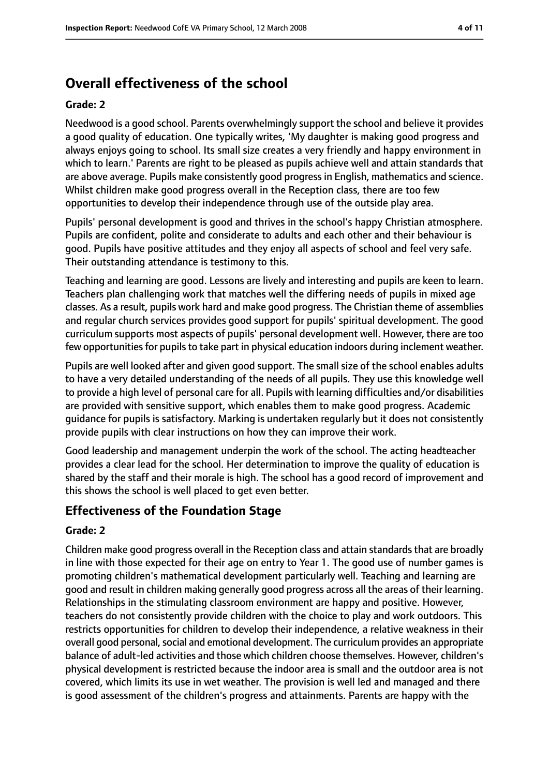# **Overall effectiveness of the school**

#### **Grade: 2**

Needwood is a good school. Parents overwhelmingly support the school and believe it provides a good quality of education. One typically writes, 'My daughter is making good progress and always enjoys going to school. Its small size creates a very friendly and happy environment in which to learn.' Parents are right to be pleased as pupils achieve well and attain standards that are above average. Pupils make consistently good progressin English, mathematics and science. Whilst children make good progress overall in the Reception class, there are too few opportunities to develop their independence through use of the outside play area.

Pupils' personal development is good and thrives in the school's happy Christian atmosphere. Pupils are confident, polite and considerate to adults and each other and their behaviour is good. Pupils have positive attitudes and they enjoy all aspects of school and feel very safe. Their outstanding attendance is testimony to this.

Teaching and learning are good. Lessons are lively and interesting and pupils are keen to learn. Teachers plan challenging work that matches well the differing needs of pupils in mixed age classes. As a result, pupils work hard and make good progress. The Christian theme of assemblies and regular church services provides good support for pupils' spiritual development. The good curriculum supports most aspects of pupils' personal development well. However, there are too few opportunities for pupils to take part in physical education indoors during inclement weather.

Pupils are well looked after and given good support. The small size of the school enables adults to have a very detailed understanding of the needs of all pupils. They use this knowledge well to provide a high level of personal care for all. Pupils with learning difficulties and/or disabilities are provided with sensitive support, which enables them to make good progress. Academic guidance for pupils is satisfactory. Marking is undertaken regularly but it does not consistently provide pupils with clear instructions on how they can improve their work.

Good leadership and management underpin the work of the school. The acting headteacher provides a clear lead for the school. Her determination to improve the quality of education is shared by the staff and their morale is high. The school has a good record of improvement and this shows the school is well placed to get even better.

#### **Effectiveness of the Foundation Stage**

#### **Grade: 2**

Children make good progress overall in the Reception class and attain standards that are broadly in line with those expected for their age on entry to Year 1. The good use of number games is promoting children's mathematical development particularly well. Teaching and learning are good and result in children making generally good progress across all the areas of their learning. Relationships in the stimulating classroom environment are happy and positive. However, teachers do not consistently provide children with the choice to play and work outdoors. This restricts opportunities for children to develop their independence, a relative weakness in their overall good personal, social and emotional development. The curriculum provides an appropriate balance of adult-led activities and those which children choose themselves. However, children's physical development is restricted because the indoor area is small and the outdoor area is not covered, which limits its use in wet weather. The provision is well led and managed and there is good assessment of the children's progress and attainments. Parents are happy with the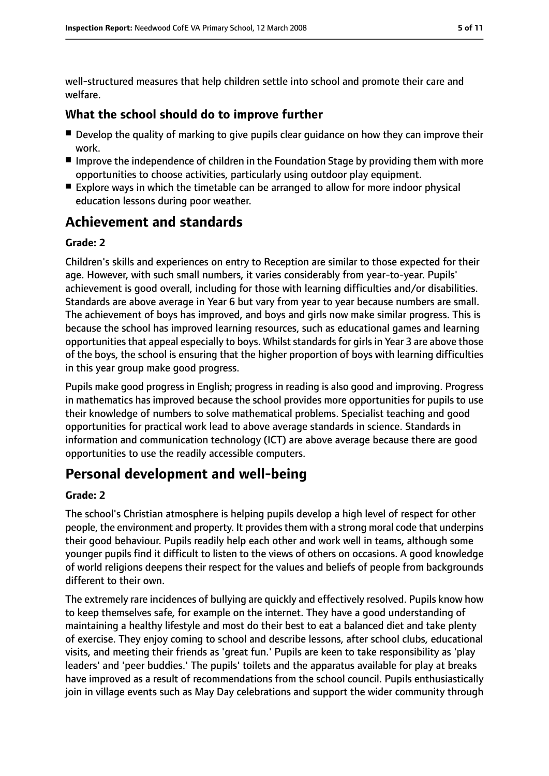well-structured measures that help children settle into school and promote their care and welfare.

#### **What the school should do to improve further**

- Develop the quality of marking to give pupils clear quidance on how they can improve their work.
- Improve the independence of children in the Foundation Stage by providing them with more opportunities to choose activities, particularly using outdoor play equipment.
- Explore ways in which the timetable can be arranged to allow for more indoor physical education lessons during poor weather.

## **Achievement and standards**

#### **Grade: 2**

Children's skills and experiences on entry to Reception are similar to those expected for their age. However, with such small numbers, it varies considerably from year-to-year. Pupils' achievement is good overall, including for those with learning difficulties and/or disabilities. Standards are above average in Year 6 but vary from year to year because numbers are small. The achievement of boys has improved, and boys and girls now make similar progress. This is because the school has improved learning resources, such as educational games and learning opportunities that appeal especially to boys. Whilst standards for girls in Year 3 are above those of the boys, the school is ensuring that the higher proportion of boys with learning difficulties in this year group make good progress.

Pupils make good progress in English; progress in reading is also good and improving. Progress in mathematics has improved because the school provides more opportunities for pupils to use their knowledge of numbers to solve mathematical problems. Specialist teaching and good opportunities for practical work lead to above average standards in science. Standards in information and communication technology (ICT) are above average because there are good opportunities to use the readily accessible computers.

## **Personal development and well-being**

#### **Grade: 2**

The school's Christian atmosphere is helping pupils develop a high level of respect for other people, the environment and property. It provides them with a strong moral code that underpins their good behaviour. Pupils readily help each other and work well in teams, although some younger pupils find it difficult to listen to the views of others on occasions. A good knowledge of world religions deepens their respect for the values and beliefs of people from backgrounds different to their own.

The extremely rare incidences of bullying are quickly and effectively resolved. Pupils know how to keep themselves safe, for example on the internet. They have a good understanding of maintaining a healthy lifestyle and most do their best to eat a balanced diet and take plenty of exercise. They enjoy coming to school and describe lessons, after school clubs, educational visits, and meeting their friends as 'great fun.' Pupils are keen to take responsibility as 'play leaders' and 'peer buddies.' The pupils' toilets and the apparatus available for play at breaks have improved as a result of recommendations from the school council. Pupils enthusiastically join in village events such as May Day celebrations and support the wider community through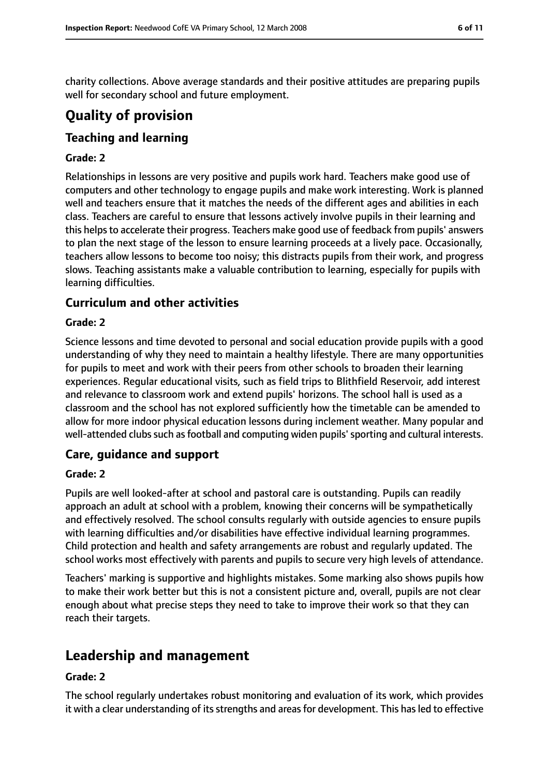charity collections. Above average standards and their positive attitudes are preparing pupils well for secondary school and future employment.

# **Quality of provision**

## **Teaching and learning**

#### **Grade: 2**

Relationships in lessons are very positive and pupils work hard. Teachers make good use of computers and other technology to engage pupils and make work interesting. Work is planned well and teachers ensure that it matches the needs of the different ages and abilities in each class. Teachers are careful to ensure that lessons actively involve pupils in their learning and this helps to accelerate their progress. Teachers make good use of feedback from pupils' answers to plan the next stage of the lesson to ensure learning proceeds at a lively pace. Occasionally, teachers allow lessons to become too noisy; this distracts pupils from their work, and progress slows. Teaching assistants make a valuable contribution to learning, especially for pupils with learning difficulties.

#### **Curriculum and other activities**

#### **Grade: 2**

Science lessons and time devoted to personal and social education provide pupils with a good understanding of why they need to maintain a healthy lifestyle. There are many opportunities for pupils to meet and work with their peers from other schools to broaden their learning experiences. Regular educational visits, such as field trips to Blithfield Reservoir, add interest and relevance to classroom work and extend pupils' horizons. The school hall is used as a classroom and the school has not explored sufficiently how the timetable can be amended to allow for more indoor physical education lessons during inclement weather. Many popular and well-attended clubs such as football and computing widen pupils' sporting and cultural interests.

#### **Care, guidance and support**

#### **Grade: 2**

Pupils are well looked-after at school and pastoral care is outstanding. Pupils can readily approach an adult at school with a problem, knowing their concerns will be sympathetically and effectively resolved. The school consults regularly with outside agencies to ensure pupils with learning difficulties and/or disabilities have effective individual learning programmes. Child protection and health and safety arrangements are robust and regularly updated. The school works most effectively with parents and pupils to secure very high levels of attendance.

Teachers' marking is supportive and highlights mistakes. Some marking also shows pupils how to make their work better but this is not a consistent picture and, overall, pupils are not clear enough about what precise steps they need to take to improve their work so that they can reach their targets.

## **Leadership and management**

#### **Grade: 2**

The school regularly undertakes robust monitoring and evaluation of its work, which provides it with a clear understanding of its strengths and areas for development. This has led to effective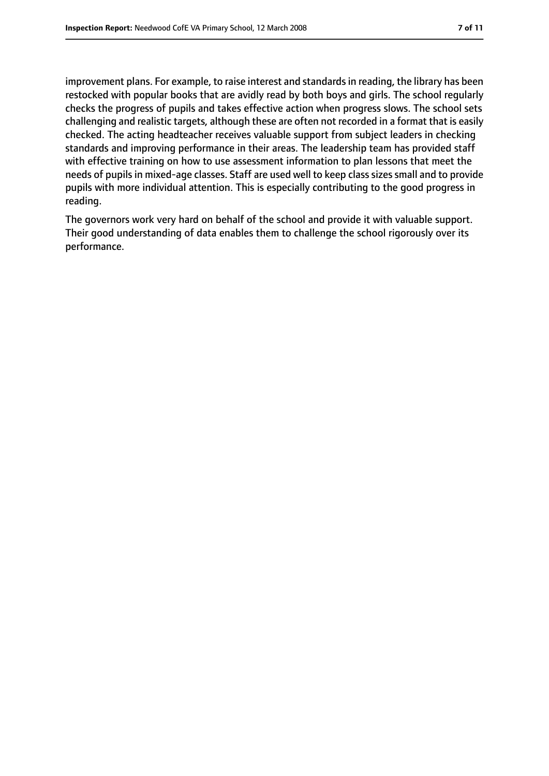improvement plans. For example, to raise interest and standards in reading, the library has been restocked with popular books that are avidly read by both boys and girls. The school regularly checks the progress of pupils and takes effective action when progress slows. The school sets challenging and realistic targets, although these are often not recorded in a format that is easily checked. The acting headteacher receives valuable support from subject leaders in checking standards and improving performance in their areas. The leadership team has provided staff with effective training on how to use assessment information to plan lessons that meet the needs of pupils in mixed-age classes. Staff are used well to keep class sizes small and to provide pupils with more individual attention. This is especially contributing to the good progress in reading.

The governors work very hard on behalf of the school and provide it with valuable support. Their good understanding of data enables them to challenge the school rigorously over its performance.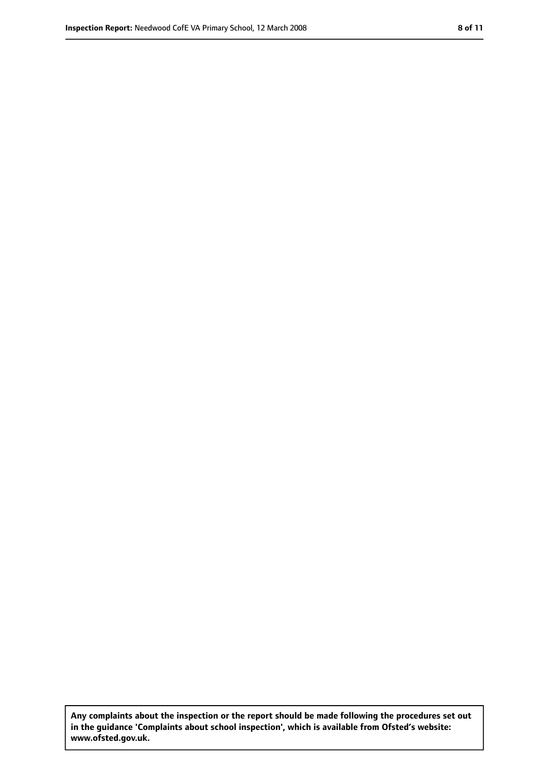**Any complaints about the inspection or the report should be made following the procedures set out in the guidance 'Complaints about school inspection', which is available from Ofsted's website: www.ofsted.gov.uk.**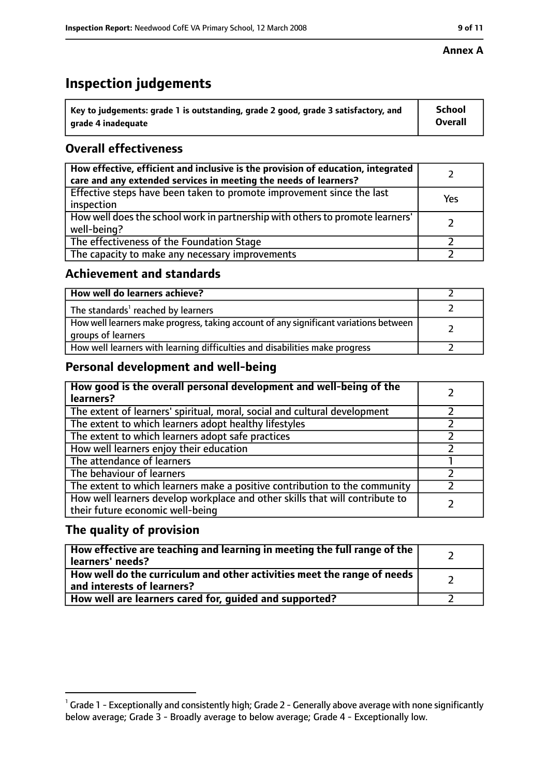# **Inspection judgements**

| $^{\backprime}$ Key to judgements: grade 1 is outstanding, grade 2 good, grade 3 satisfactory, and | <b>School</b>  |
|----------------------------------------------------------------------------------------------------|----------------|
| arade 4 inadequate                                                                                 | <b>Overall</b> |

## **Overall effectiveness**

| How effective, efficient and inclusive is the provision of education, integrated<br>care and any extended services in meeting the needs of learners? |     |
|------------------------------------------------------------------------------------------------------------------------------------------------------|-----|
| Effective steps have been taken to promote improvement since the last<br>inspection                                                                  | Yes |
| How well does the school work in partnership with others to promote learners'<br>well-being?                                                         |     |
| The effectiveness of the Foundation Stage                                                                                                            |     |
| The capacity to make any necessary improvements                                                                                                      |     |

#### **Achievement and standards**

| How well do learners achieve?                                                                               |  |
|-------------------------------------------------------------------------------------------------------------|--|
| The standards <sup>1</sup> reached by learners                                                              |  |
| How well learners make progress, taking account of any significant variations between<br>groups of learners |  |
| How well learners with learning difficulties and disabilities make progress                                 |  |

## **Personal development and well-being**

| How good is the overall personal development and well-being of the<br>learners?                                  |  |
|------------------------------------------------------------------------------------------------------------------|--|
| The extent of learners' spiritual, moral, social and cultural development                                        |  |
| The extent to which learners adopt healthy lifestyles                                                            |  |
| The extent to which learners adopt safe practices                                                                |  |
| How well learners enjoy their education                                                                          |  |
| The attendance of learners                                                                                       |  |
| The behaviour of learners                                                                                        |  |
| The extent to which learners make a positive contribution to the community                                       |  |
| How well learners develop workplace and other skills that will contribute to<br>their future economic well-being |  |

## **The quality of provision**

| How effective are teaching and learning in meeting the full range of the<br>learners' needs?          |  |
|-------------------------------------------------------------------------------------------------------|--|
| How well do the curriculum and other activities meet the range of needs<br>and interests of learners? |  |
| How well are learners cared for, guided and supported?                                                |  |

 $^1$  Grade 1 - Exceptionally and consistently high; Grade 2 - Generally above average with none significantly below average; Grade 3 - Broadly average to below average; Grade 4 - Exceptionally low.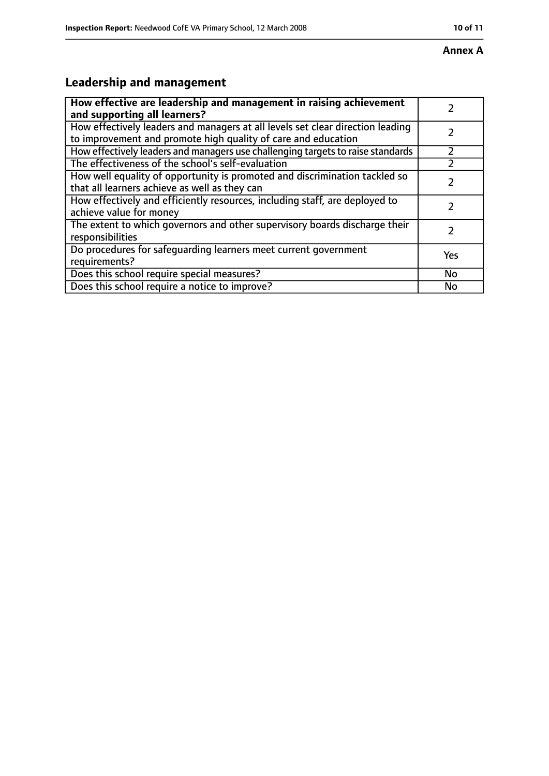# **Leadership and management**

| How effective are leadership and management in raising achievement<br>and supporting all learners?                                              |     |
|-------------------------------------------------------------------------------------------------------------------------------------------------|-----|
| How effectively leaders and managers at all levels set clear direction leading<br>to improvement and promote high quality of care and education |     |
| How effectively leaders and managers use challenging targets to raise standards                                                                 |     |
| The effectiveness of the school's self-evaluation                                                                                               |     |
| How well equality of opportunity is promoted and discrimination tackled so<br>that all learners achieve as well as they can                     |     |
| How effectively and efficiently resources, including staff, are deployed to<br>achieve value for money                                          |     |
| The extent to which governors and other supervisory boards discharge their<br>responsibilities                                                  |     |
| Do procedures for safequarding learners meet current government<br>requirements?                                                                | Yes |
| Does this school require special measures?                                                                                                      | No  |
| Does this school require a notice to improve?                                                                                                   | No  |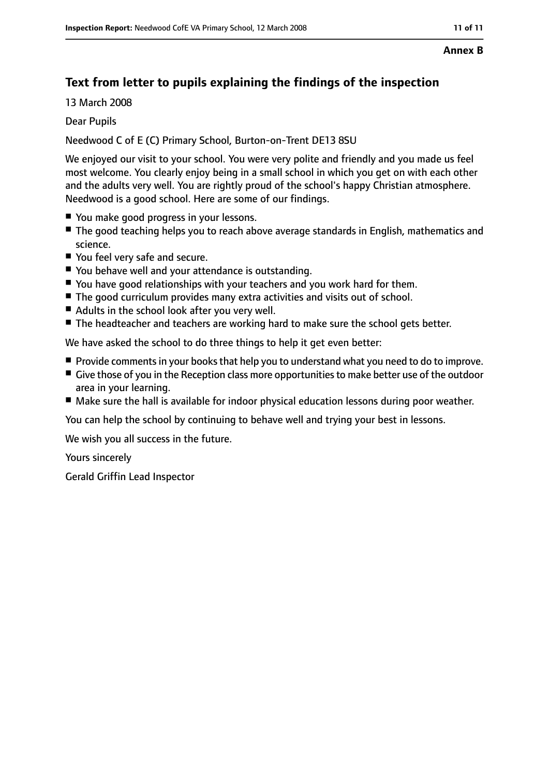#### **Annex B**

## **Text from letter to pupils explaining the findings of the inspection**

13 March 2008

Dear Pupils

Needwood C of E (C) Primary School, Burton-on-Trent DE13 8SU

We enjoyed our visit to your school. You were very polite and friendly and you made us feel most welcome. You clearly enjoy being in a small school in which you get on with each other and the adults very well. You are rightly proud of the school's happy Christian atmosphere. Needwood is a good school. Here are some of our findings.

- You make good progress in your lessons.
- The good teaching helps you to reach above average standards in English, mathematics and science.
- You feel very safe and secure.
- You behave well and your attendance is outstanding.
- You have good relationships with your teachers and you work hard for them.
- The good curriculum provides many extra activities and visits out of school.
- Adults in the school look after you very well.
- The headteacher and teachers are working hard to make sure the school gets better.

We have asked the school to do three things to help it get even better:

- Provide comments in your books that help you to understand what you need to do to improve.
- Give those of you in the Reception class more opportunities to make better use of the outdoor area in your learning.
- Make sure the hall is available for indoor physical education lessons during poor weather.

You can help the school by continuing to behave well and trying your best in lessons.

We wish you all success in the future.

Yours sincerely

Gerald Griffin Lead Inspector